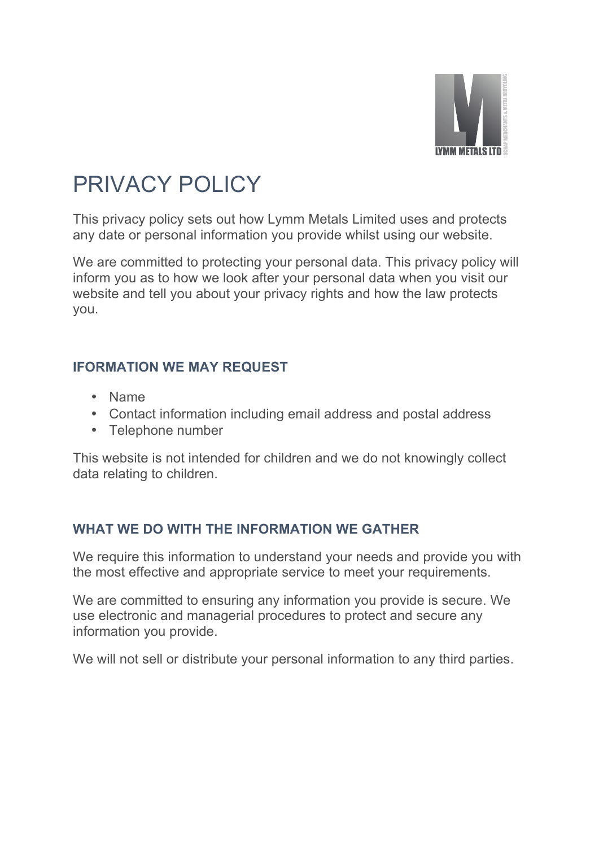

## PRIVACY POLICY

This privacy policy sets out how Lymm Metals Limited uses and protects any date or personal information you provide whilst using our website.

We are committed to protecting your personal data. This privacy policy will inform you as to how we look after your personal data when you visit our website and tell you about your privacy rights and how the law protects you.

## **IFORMATION WE MAY REQUEST**

- Name
- Contact information including email address and postal address
- Telephone number

This website is not intended for children and we do not knowingly collect data relating to children.

## **WHAT WE DO WITH THE INFORMATION WE GATHER**

We require this information to understand your needs and provide you with the most effective and appropriate service to meet your requirements.

We are committed to ensuring any information you provide is secure. We use electronic and managerial procedures to protect and secure any information you provide.

We will not sell or distribute your personal information to any third parties.